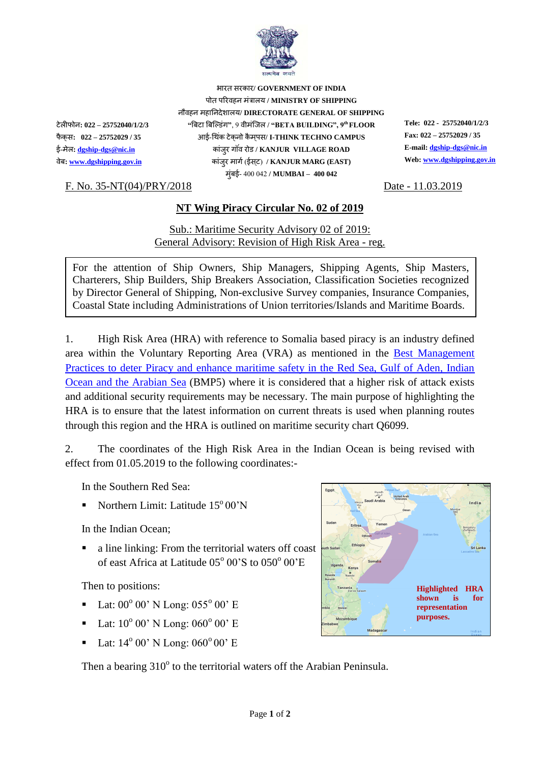

भारत सरकार**/ GOVERNMENT OF INDIA** पोत पररवहन मंत्रालय **/ MINISTRY OF SHIPPING** नौवहन महाननदेशालय**/ DIRECTORATE GENERAL OF SHIPPING** टेलीफोन**: 022 – 25752040/1/2/3 "**बिटा बिल्डंग**"**, 9 वीमंलिल **/ "BETA BUILDING", 9th FLOOR Tele: 022 - 25752040/1/2/3** फैक स**: 022 – 25752029 / 35** आई-थ कं टेक नो कैमपस **/ I-THINK TECHNO CAMPUS Fax: 022 – 25752029 / 35**  ई-मेल**[: dgship-dgs@nic.in](mailto:dgship-dgs@nic.in)** कांिरु ग वं रोड **/ KANJUR VILLAGE ROAD E-mail[: dgship-dgs@nic.in](mailto:dgship-dgs@nic.in)** वेि**[: www.dgshipping.gov.in](http://www.dgshipping.gov.in/)** कांिरु मागग(ईसट ) **/ KANJUR MARG (EAST) Web: [www.dgshipping.gov.in](http://www.dgshipping.gov.in/)** मुंिई- 400 042 **/ MUMBAI – 400 042**

## F. No. 35-NT(04)/PRY/2018 Date - 11.03.2019

## **NT Wing Piracy Circular No. 02 of 2019**

Sub.: Maritime Security Advisory 02 of 2019: General Advisory: Revision of High Risk Area - reg.

For the attention of Ship Owners, Ship Managers, Shipping Agents, Ship Masters, Charterers, Ship Builders, Ship Breakers Association, Classification Societies recognized by Director General of Shipping, Non-exclusive Survey companies, Insurance Companies, Coastal State including Administrations of Union territories/Islands and Maritime Boards.

1. High Risk Area (HRA) with reference to Somalia based piracy is an industry defined area within the Voluntary Reporting Area (VRA) as mentioned in the [Best Management](http://www.imo.org/en/OurWork/Security/PiracyArmedRobbery/Documents/BMP5%20small.pdf)  Practices to deter [Piracy and enhance maritime safety in the Red Sea, Gulf of Aden, Indian](http://www.imo.org/en/OurWork/Security/PiracyArmedRobbery/Documents/BMP5%20small.pdf)  [Ocean and the Arabian Sea](http://www.imo.org/en/OurWork/Security/PiracyArmedRobbery/Documents/BMP5%20small.pdf) (BMP5) where it is considered that a higher risk of attack exists and additional security requirements may be necessary. The main purpose of highlighting the HRA is to ensure that the latest information on current threats is used when planning routes through this region and the HRA is outlined on maritime security chart Q6099.

2. The coordinates of the High Risk Area in the Indian Ocean is being revised with effect from 01.05.2019 to the following coordinates:-

In the Southern Red Sea:

Northern Limit: Latitude 15° 00'N

In the Indian Ocean;

 a line linking: From the territorial waters off coast of east Africa at Latitude 05° 00'S to 050° 00'E

Then to positions:

- $\blacksquare$  Lat: 00<sup>o</sup> 00' N Long: 055<sup>o</sup> 00' E
- $\blacksquare$  Lat: 10<sup>o</sup> 00' N Long: 060<sup>o</sup> 00' E
- $\blacksquare$  Lat: 14<sup>o</sup> 00' N Long: 060<sup>o</sup> 00' E

Then a bearing  $310^{\circ}$  to the territorial waters off the Arabian Peninsula.